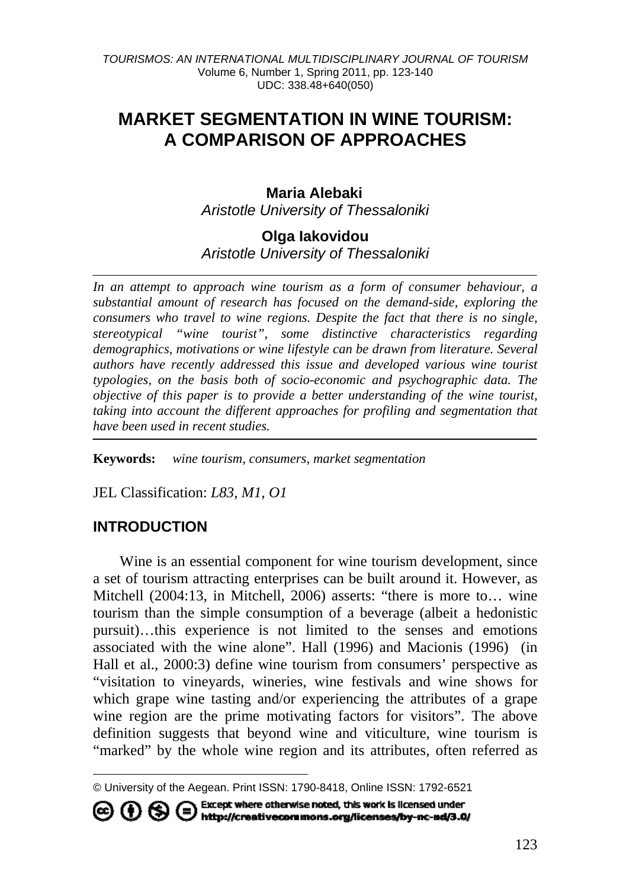# **MARKET SEGMENTATION IN WINE TOURISM: A COMPARISON OF APPROACHES**

## **Maria Alebaki[1](#page-0-0)** *Aristotle University of Thessaloniki*

### **Olga Iakovidou**  *Aristotle University of Thessaloniki*

*In an attempt to approach wine tourism as a form of consumer behaviour, a substantial amount of research has focused on the demand-side, exploring the consumers who travel to wine regions. Despite the fact that there is no single, stereotypical "wine tourist", some distinctive characteristics regarding demographics, motivations or wine lifestyle can be drawn from literature. Several authors have recently addressed this issue and developed various wine tourist typologies, on the basis both of socio-economic and psychographic data. The objective of this paper is to provide a better understanding of the wine tourist, taking into account the different approaches for profiling and segmentation that have been used in recent studies.* 

**Keywords:** *wine tourism, consumers, market segmentation* 

JEL Classification: *L83, M1, O1* 

## **INTRODUCTION**

 $\overline{a}$ 

Wine is an essential component for wine tourism development, since a set of tourism attracting enterprises can be built around it. However, as Mitchell (2004:13, in Mitchell, 2006) asserts: "there is more to… wine tourism than the simple consumption of a beverage (albeit a hedonistic pursuit)…this experience is not limited to the senses and emotions associated with the wine alone". Hall (1996) and Macionis (1996) (in Hall et al., 2000:3) define wine tourism from consumers' perspective as "visitation to vineyards, wineries, wine festivals and wine shows for which grape wine tasting and/or experiencing the attributes of a grape wine region are the prime motivating factors for visitors". The above definition suggests that beyond wine and viticulture, wine tourism is "marked" by the whole wine region and its attributes, often referred as

Except where otherwise noted, this work is licensed under CO (D) S C Except where otherwise noted, this work is licensed under<br>http://creativecommons.org/licenses/by-nc-nd/3.0/

<span id="page-0-0"></span><sup>©</sup> University of the Aegean. Print ISSN: 1790-8418, Online ISSN: 1792-6521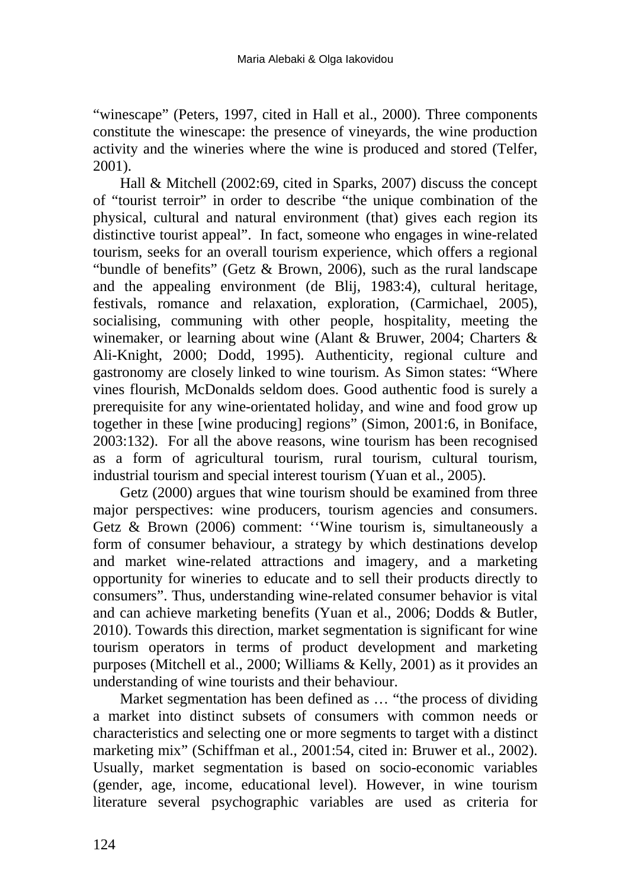"winescape" (Peters, 1997, cited in Hall et al., 2000). Three components constitute the winescape: the presence of vineyards, the wine production activity and the wineries where the wine is produced and stored (Telfer, 2001).

Hall & Mitchell (2002:69, cited in Sparks, 2007) discuss the concept of "tourist terroir" in order to describe "the unique combination of the physical, cultural and natural environment (that) gives each region its distinctive tourist appeal". In fact, someone who engages in wine-related tourism, seeks for an overall tourism experience, which offers a regional "bundle of benefits" (Getz & Brown, 2006), such as the rural landscape and the appealing environment (de Blij, 1983:4), cultural heritage, festivals, romance and relaxation, exploration, (Carmichael, 2005), socialising, communing with other people, hospitality, meeting the winemaker, or learning about wine (Alant & Bruwer, 2004; Charters & Ali-Knight, 2000; Dodd, 1995). Authenticity, regional culture and gastronomy are closely linked to wine tourism. As Simon states: "Where vines flourish, McDonalds seldom does. Good authentic food is surely a prerequisite for any wine-orientated holiday, and wine and food grow up together in these [wine producing] regions" (Simon, 2001:6, in Boniface, 2003:132). For all the above reasons, wine tourism has been recognised as a form of agricultural tourism, rural tourism, cultural tourism, industrial tourism and special interest tourism (Yuan et al., 2005).

Getz (2000) argues that wine tourism should be examined from three major perspectives: wine producers, tourism agencies and consumers. Getz & Brown (2006) comment: ''Wine tourism is, simultaneously a form of consumer behaviour, a strategy by which destinations develop and market wine-related attractions and imagery, and a marketing opportunity for wineries to educate and to sell their products directly to consumers". Thus, understanding wine-related consumer behavior is vital and can achieve marketing benefits (Yuan et al., 2006; Dodds & Butler, 2010). Towards this direction, market segmentation is significant for wine tourism operators in terms of product development and marketing purposes (Mitchell et al., 2000; Williams & Kelly, 2001) as it provides an understanding of wine tourists and their behaviour.

Market segmentation has been defined as … "the process of dividing a market into distinct subsets of consumers with common needs or characteristics and selecting one or more segments to target with a distinct marketing mix" (Schiffman et al., 2001:54, cited in: Bruwer et al., 2002). Usually, market segmentation is based on socio-economic variables (gender, age, income, educational level). However, in wine tourism literature several psychographic variables are used as criteria for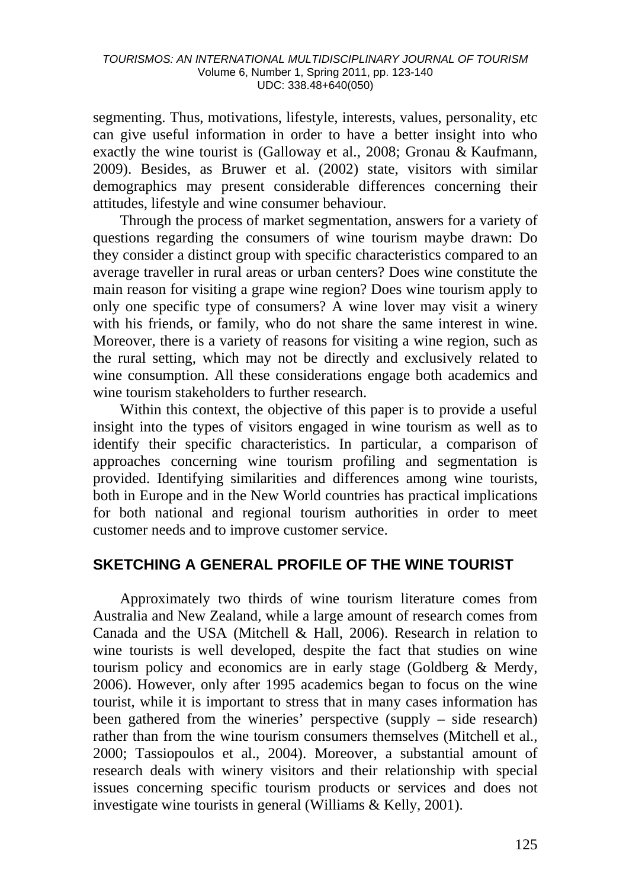segmenting. Thus, motivations, lifestyle, interests, values, personality, etc can give useful information in order to have a better insight into who exactly the wine tourist is (Galloway et al., 2008; Gronau & Kaufmann, 2009). Besides, as Bruwer et al. (2002) state, visitors with similar demographics may present considerable differences concerning their attitudes, lifestyle and wine consumer behaviour.

Through the process of market segmentation, answers for a variety of questions regarding the consumers of wine tourism maybe drawn: Do they consider a distinct group with specific characteristics compared to an average traveller in rural areas or urban centers? Does wine constitute the main reason for visiting a grape wine region? Does wine tourism apply to only one specific type of consumers? A wine lover may visit a winery with his friends, or family, who do not share the same interest in wine. Moreover, there is a variety of reasons for visiting a wine region, such as the rural setting, which may not be directly and exclusively related to wine consumption. All these considerations engage both academics and wine tourism stakeholders to further research.

Within this context, the objective of this paper is to provide a useful insight into the types of visitors engaged in wine tourism as well as to identify their specific characteristics. In particular, a comparison of approaches concerning wine tourism profiling and segmentation is provided. Identifying similarities and differences among wine tourists, both in Europe and in the New World countries has practical implications for both national and regional tourism authorities in order to meet customer needs and to improve customer service.

### **SKETCHING A GENERAL PROFILE OF THE WINE TOURIST**

Approximately two thirds of wine tourism literature comes from Australia and New Zealand, while a large amount of research comes from Canada and the USA (Mitchell & Hall, 2006). Research in relation to wine tourists is well developed, despite the fact that studies on wine tourism policy and economics are in early stage (Goldberg & Merdy, 2006). However, only after 1995 academics began to focus on the wine tourist, while it is important to stress that in many cases information has been gathered from the wineries' perspective (supply – side research) rather than from the wine tourism consumers themselves (Mitchell et al., 2000; Tassiopoulos et al., 2004). Moreover, a substantial amount of research deals with winery visitors and their relationship with special issues concerning specific tourism products or services and does not investigate wine tourists in general (Williams & Kelly, 2001).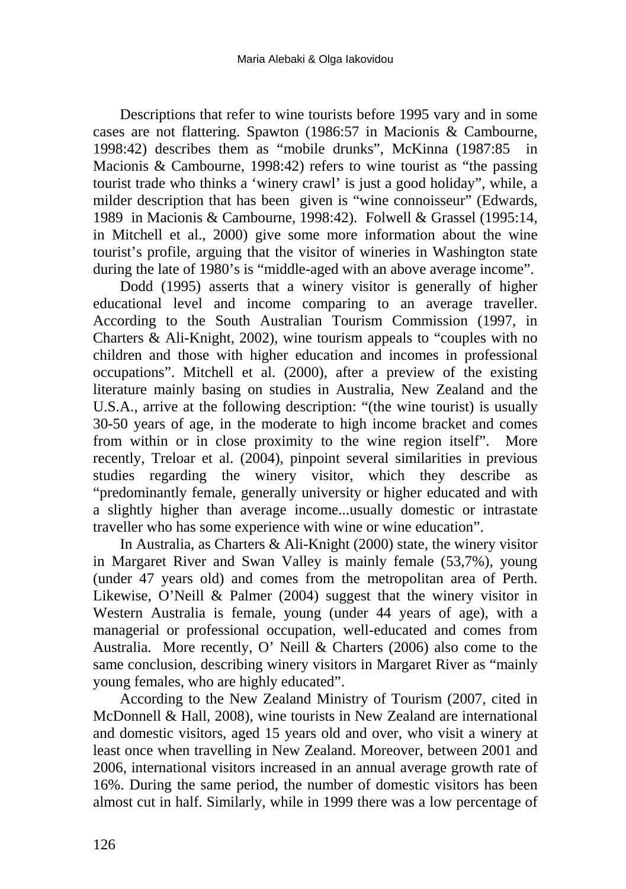Descriptions that refer to wine tourists before 1995 vary and in some cases are not flattering. Spawton (1986:57 in Macionis & Cambourne, 1998:42) describes them as "mobile drunks", McKinna (1987:85 in Macionis & Cambourne, 1998:42) refers to wine tourist as "the passing tourist trade who thinks a 'winery crawl' is just a good holiday", while, a milder description that has been given is "wine connoisseur" (Edwards, 1989 in Macionis & Cambourne, 1998:42). Folwell & Grassel (1995:14, in Mitchell et al., 2000) give some more information about the wine tourist's profile, arguing that the visitor of wineries in Washington state during the late of 1980's is "middle-aged with an above average income".

Dodd (1995) asserts that a winery visitor is generally of higher educational level and income comparing to an average traveller. According to the South Australian Tourism Commission (1997, in Charters & Ali-Knight, 2002), wine tourism appeals to "couples with no children and those with higher education and incomes in professional occupations". Mitchell et al. (2000), after a preview of the existing literature mainly basing on studies in Australia, New Zealand and the U.S.A., arrive at the following description: "(the wine tourist) is usually 30-50 years of age, in the moderate to high income bracket and comes from within or in close proximity to the wine region itself". More recently, Treloar et al. (2004), pinpoint several similarities in previous studies regarding the winery visitor, which they describe as "predominantly female, generally university or higher educated and with a slightly higher than average income...usually domestic or intrastate traveller who has some experience with wine or wine education".

In Australia, as Charters & Ali-Knight (2000) state, the winery visitor in Margaret River and Swan Valley is mainly female (53,7%), young (under 47 years old) and comes from the metropolitan area of Perth. Likewise, O'Neill & Palmer (2004) suggest that the winery visitor in Western Australia is female, young (under 44 years of age), with a managerial or professional occupation, well-educated and comes from Australia. More recently, O' Neill & Charters (2006) also come to the same conclusion, describing winery visitors in Margaret River as "mainly young females, who are highly educated".

According to the New Zealand Ministry of Tourism (2007, cited in McDonnell & Hall, 2008), wine tourists in New Zealand are international and domestic visitors, aged 15 years old and over, who visit a winery at least once when travelling in New Zealand. Moreover, between 2001 and 2006, international visitors increased in an annual average growth rate of 16%. During the same period, the number of domestic visitors has been almost cut in half. Similarly, while in 1999 there was a low percentage of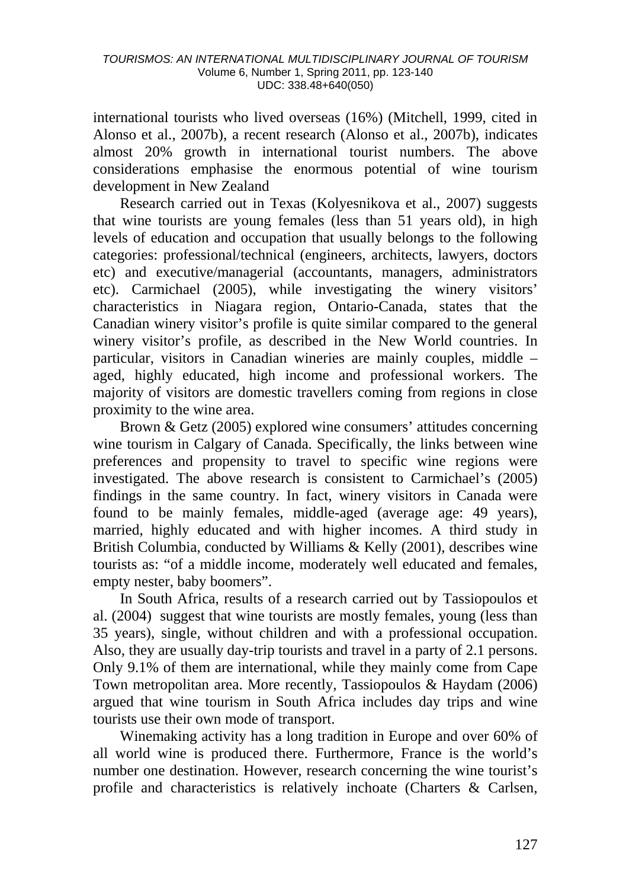international tourists who lived overseas (16%) (Mitchell, 1999, cited in Alonso et al., 2007b), a recent research (Alonso et al., 2007b), indicates almost 20% growth in international tourist numbers. The above considerations emphasise the enormous potential of wine tourism development in New Zealand

Research carried out in Texas (Kolyesnikova et al., 2007) suggests that wine tourists are young females (less than 51 years old), in high levels of education and occupation that usually belongs to the following categories: professional/technical (engineers, architects, lawyers, doctors etc) and executive/managerial (accountants, managers, administrators etc). Carmichael (2005), while investigating the winery visitors' characteristics in Niagara region, Ontario-Canada, states that the Canadian winery visitor's profile is quite similar compared to the general winery visitor's profile, as described in the New World countries. In particular, visitors in Canadian wineries are mainly couples, middle – aged, highly educated, high income and professional workers. The majority of visitors are domestic travellers coming from regions in close proximity to the wine area.

Brown & Getz (2005) explored wine consumers' attitudes concerning wine tourism in Calgary of Canada. Specifically, the links between wine preferences and propensity to travel to specific wine regions were investigated. The above research is consistent to Carmichael's (2005) findings in the same country. In fact, winery visitors in Canada were found to be mainly females, middle-aged (average age: 49 years), married, highly educated and with higher incomes. A third study in British Columbia, conducted by Williams & Kelly (2001), describes wine tourists as: "of a middle income, moderately well educated and females, empty nester, baby boomers".

In South Africa, results of a research carried out by Tassiopoulos et al. (2004) suggest that wine tourists are mostly females, young (less than 35 years), single, without children and with a professional occupation. Also, they are usually day-trip tourists and travel in a party of 2.1 persons. Only 9.1% of them are international, while they mainly come from Cape Town metropolitan area. More recently, Tassiopoulos & Haydam (2006) argued that wine tourism in South Africa includes day trips and wine tourists use their own mode of transport.

Winemaking activity has a long tradition in Europe and over 60% of all world wine is produced there. Furthermore, France is the world's number one destination. However, research concerning the wine tourist's profile and characteristics is relatively inchoate (Charters & Carlsen,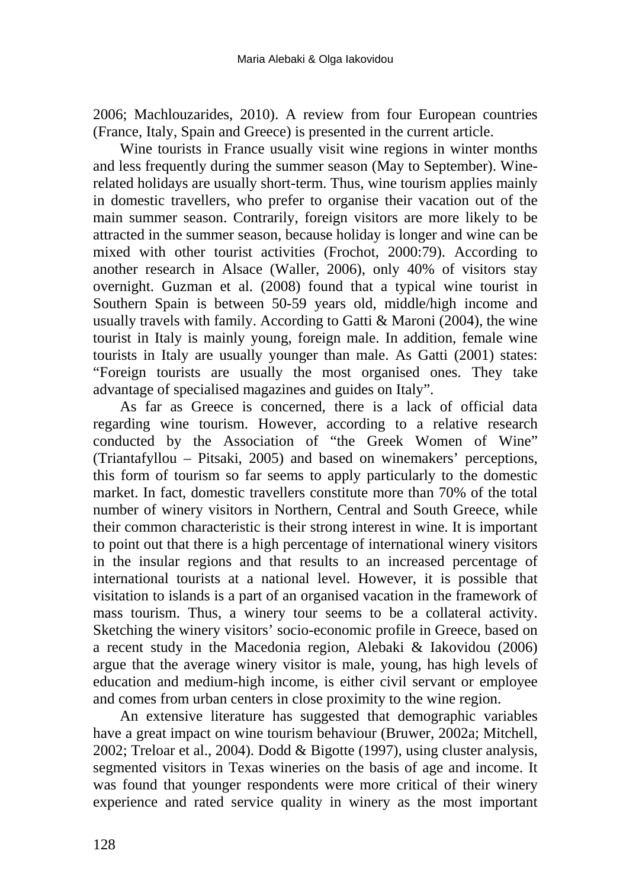2006; Machlouzarides, 2010). A review from four European countries (France, Italy, Spain and Greece) is presented in the current article.

Wine tourists in France usually visit wine regions in winter months and less frequently during the summer season (May to September). Winerelated holidays are usually short-term. Thus, wine tourism applies mainly in domestic travellers, who prefer to organise their vacation out of the main summer season. Contrarily, foreign visitors are more likely to be attracted in the summer season, because holiday is longer and wine can be mixed with other tourist activities (Frochot, 2000:79). According to another research in Alsace (Waller, 2006), only 40% of visitors stay overnight. Guzman et al. (2008) found that a typical wine tourist in Southern Spain is between 50-59 years old, middle/high income and usually travels with family. According to Gatti & Maroni (2004), the wine tourist in Italy is mainly young, foreign male. In addition, female wine tourists in Italy are usually younger than male. As Gatti (2001) states: "Foreign tourists are usually the most organised ones. They take advantage of specialised magazines and guides on Italy".

As far as Greece is concerned, there is a lack of official data regarding wine tourism. However, according to a relative research conducted by the Association of "the Greek Women of Wine" (Triantafyllou – Pitsaki, 2005) and based on winemakers' perceptions, this form of tourism so far seems to apply particularly to the domestic market. In fact, domestic travellers constitute more than 70% of the total number of winery visitors in Northern, Central and South Greece, while their common characteristic is their strong interest in wine. It is important to point out that there is a high percentage of international winery visitors in the insular regions and that results to an increased percentage of international tourists at a national level. However, it is possible that visitation to islands is a part of an organised vacation in the framework of mass tourism. Thus, a winery tour seems to be a collateral activity. Sketching the winery visitors' socio-economic profile in Greece, based on a recent study in the Macedonia region, Alebaki & Iakovidou (2006) argue that the average winery visitor is male, young, has high levels of education and medium-high income, is either civil servant or employee and comes from urban centers in close proximity to the wine region.

An extensive literature has suggested that demographic variables have a great impact on wine tourism behaviour (Bruwer, 2002a; Mitchell, 2002; Treloar et al., 2004). Dodd & Bigotte (1997), using cluster analysis, segmented visitors in Texas wineries on the basis of age and income. It was found that younger respondents were more critical of their winery experience and rated service quality in winery as the most important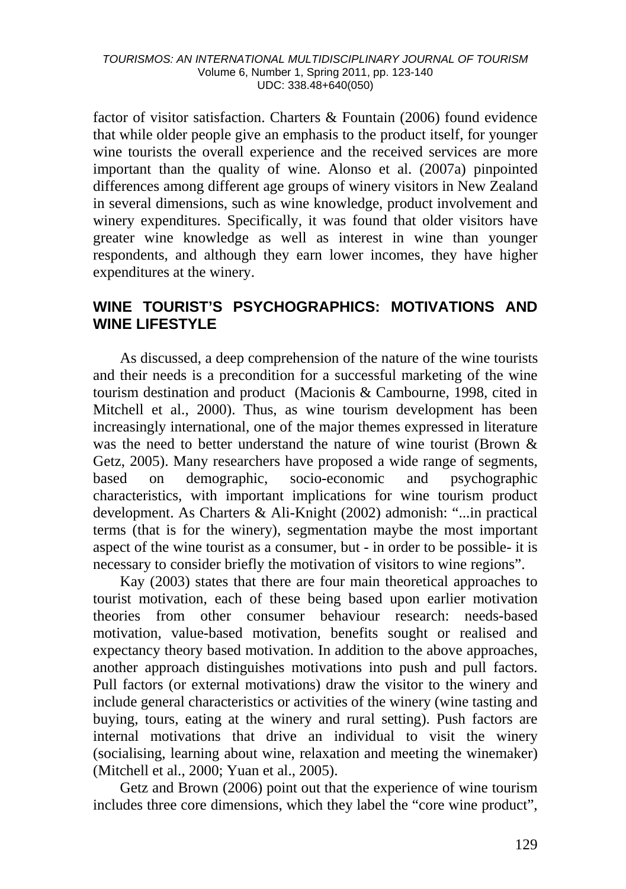factor of visitor satisfaction. Charters & Fountain (2006) found evidence that while older people give an emphasis to the product itself, for younger wine tourists the overall experience and the received services are more important than the quality of wine. Alonso et al. (2007a) pinpointed differences among different age groups of winery visitors in New Zealand in several dimensions, such as wine knowledge, product involvement and winery expenditures. Specifically, it was found that older visitors have greater wine knowledge as well as interest in wine than younger respondents, and although they earn lower incomes, they have higher expenditures at the winery.

### **WINE TOURIST'S PSYCHOGRAPHICS: MOTIVATIONS AND WINE LIFESTYLE**

As discussed, a deep comprehension of the nature of the wine tourists and their needs is a precondition for a successful marketing of the wine tourism destination and product (Macionis & Cambourne, 1998, cited in Mitchell et al., 2000). Thus, as wine tourism development has been increasingly international, one of the major themes expressed in literature was the need to better understand the nature of wine tourist (Brown & Getz, 2005). Many researchers have proposed a wide range of segments, based on demographic, socio-economic and psychographic characteristics, with important implications for wine tourism product development. As Charters & Ali-Knight (2002) admonish: "...in practical terms (that is for the winery), segmentation maybe the most important aspect of the wine tourist as a consumer, but - in order to be possible- it is necessary to consider briefly the motivation of visitors to wine regions".

Kay (2003) states that there are four main theoretical approaches to tourist motivation, each of these being based upon earlier motivation theories from other consumer behaviour research: needs-based motivation, value-based motivation, benefits sought or realised and expectancy theory based motivation. In addition to the above approaches, another approach distinguishes motivations into push and pull factors. Pull factors (or external motivations) draw the visitor to the winery and include general characteristics or activities of the winery (wine tasting and buying, tours, eating at the winery and rural setting). Push factors are internal motivations that drive an individual to visit the winery (socialising, learning about wine, relaxation and meeting the winemaker) (Mitchell et al., 2000; Yuan et al., 2005).

Getz and Brown (2006) point out that the experience of wine tourism includes three core dimensions, which they label the "core wine product",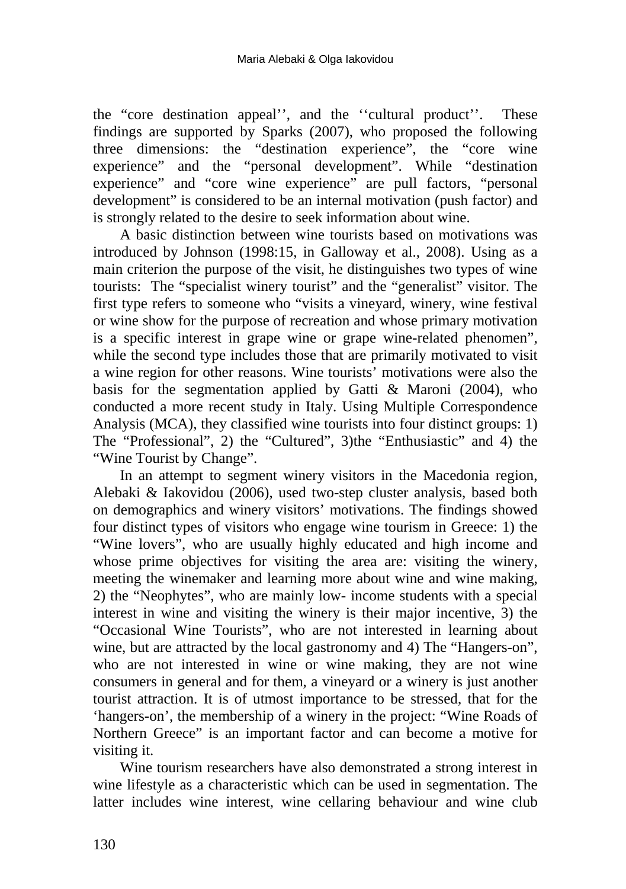the "core destination appeal'', and the ''cultural product''. These findings are supported by Sparks (2007), who proposed the following three dimensions: the "destination experience", the "core wine experience" and the "personal development". While "destination experience" and "core wine experience" are pull factors, "personal development" is considered to be an internal motivation (push factor) and is strongly related to the desire to seek information about wine.

A basic distinction between wine tourists based on motivations was introduced by Johnson (1998:15, in Galloway et al., 2008). Using as a main criterion the purpose of the visit, he distinguishes two types of wine tourists: The "specialist winery tourist" and the "generalist" visitor. The first type refers to someone who "visits a vineyard, winery, wine festival or wine show for the purpose of recreation and whose primary motivation is a specific interest in grape wine or grape wine-related phenomen", while the second type includes those that are primarily motivated to visit a wine region for other reasons. Wine tourists' motivations were also the basis for the segmentation applied by Gatti & Maroni (2004), who conducted a more recent study in Italy. Using Multiple Correspondence Analysis (MCA), they classified wine tourists into four distinct groups: 1) The "Professional", 2) the "Cultured", 3)the "Enthusiastic" and 4) the "Wine Tourist by Change".

In an attempt to segment winery visitors in the Macedonia region, Alebaki & Iakovidou (2006), used two-step cluster analysis, based both on demographics and winery visitors' motivations. The findings showed four distinct types of visitors who engage wine tourism in Greece: 1) the "Wine lovers", who are usually highly educated and high income and whose prime objectives for visiting the area are: visiting the winery, meeting the winemaker and learning more about wine and wine making, 2) the "Neophytes", who are mainly low- income students with a special interest in wine and visiting the winery is their major incentive, 3) the "Occasional Wine Tourists", who are not interested in learning about wine, but are attracted by the local gastronomy and 4) The "Hangers-on", who are not interested in wine or wine making, they are not wine consumers in general and for them, a vineyard or a winery is just another tourist attraction. It is of utmost importance to be stressed, that for the 'hangers-on', the membership of a winery in the project: "Wine Roads of Northern Greece" is an important factor and can become a motive for visiting it.

Wine tourism researchers have also demonstrated a strong interest in wine lifestyle as a characteristic which can be used in segmentation. The latter includes wine interest, wine cellaring behaviour and wine club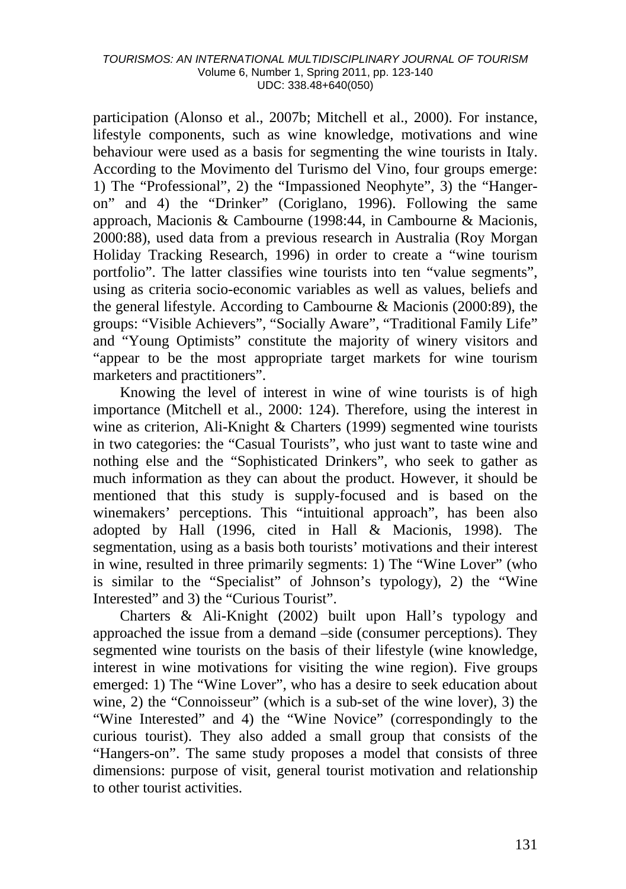participation (Alonso et al., 2007b; Mitchell et al., 2000). For instance, lifestyle components, such as wine knowledge, motivations and wine behaviour were used as a basis for segmenting the wine tourists in Italy. According to the Movimento del Turismo del Vino, four groups emerge: 1) The "Professional", 2) the "Impassioned Neophyte", 3) the "Hangeron" and 4) the "Drinker" (Coriglano, 1996). Following the same approach, Macionis & Cambourne (1998:44, in Cambourne & Macionis, 2000:88), used data from a previous research in Australia (Roy Morgan Holiday Tracking Research, 1996) in order to create a "wine tourism portfolio". The latter classifies wine tourists into ten "value segments", using as criteria socio-economic variables as well as values, beliefs and the general lifestyle. According to Cambourne & Macionis (2000:89), the groups: "Visible Achievers", "Socially Aware", "Traditional Family Life" and "Young Optimists" constitute the majority of winery visitors and "appear to be the most appropriate target markets for wine tourism marketers and practitioners".

Knowing the level of interest in wine of wine tourists is of high importance (Mitchell et al., 2000: 124). Therefore, using the interest in wine as criterion, Ali-Knight & Charters (1999) segmented wine tourists in two categories: the "Casual Tourists", who just want to taste wine and nothing else and the "Sophisticated Drinkers", who seek to gather as much information as they can about the product. However, it should be mentioned that this study is supply-focused and is based on the winemakers' perceptions. This "intuitional approach", has been also adopted by Hall (1996, cited in Hall & Macionis, 1998). The segmentation, using as a basis both tourists' motivations and their interest in wine, resulted in three primarily segments: 1) The "Wine Lover" (who is similar to the "Specialist" of Johnson's typology), 2) the "Wine Interested" and 3) the "Curious Tourist".

Charters & Ali-Knight (2002) built upon Hall's typology and approached the issue from a demand –side (consumer perceptions). They segmented wine tourists on the basis of their lifestyle (wine knowledge, interest in wine motivations for visiting the wine region). Five groups emerged: 1) The "Wine Lover", who has a desire to seek education about wine, 2) the "Connoisseur" (which is a sub-set of the wine lover), 3) the "Wine Interested" and 4) the "Wine Novice" (correspondingly to the curious tourist). They also added a small group that consists of the "Hangers-on". The same study proposes a model that consists of three dimensions: purpose of visit, general tourist motivation and relationship to other tourist activities.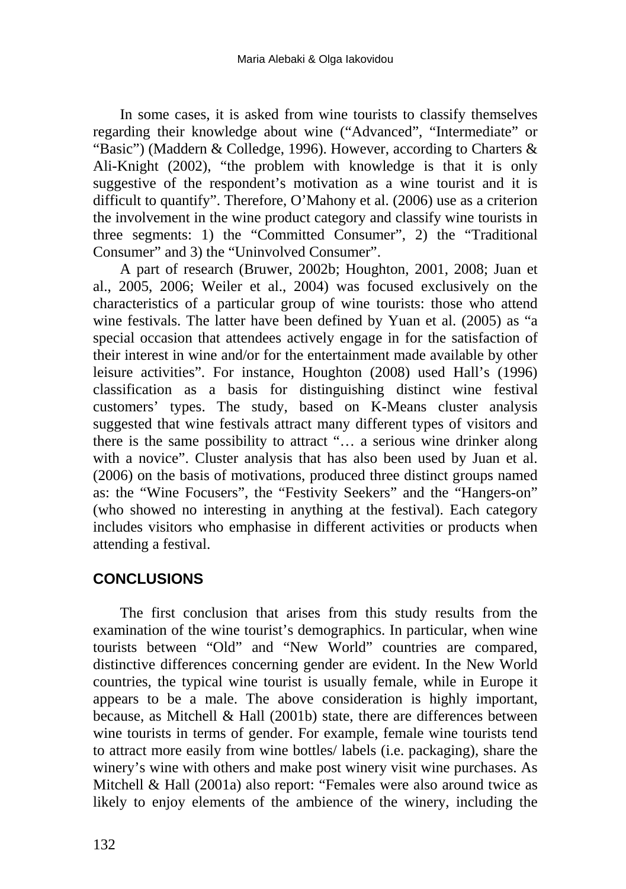In some cases, it is asked from wine tourists to classify themselves regarding their knowledge about wine ("Advanced", "Intermediate" or "Basic") (Maddern & Colledge, 1996). However, according to Charters & Ali-Knight (2002), "the problem with knowledge is that it is only suggestive of the respondent's motivation as a wine tourist and it is difficult to quantify". Therefore, O'Mahony et al. (2006) use as a criterion the involvement in the wine product category and classify wine tourists in three segments: 1) the "Committed Consumer", 2) the "Traditional Consumer" and 3) the "Uninvolved Consumer".

A part of research (Bruwer, 2002b; Houghton, 2001, 2008; Juan et al., 2005, 2006; Weiler et al., 2004) was focused exclusively on the characteristics of a particular group of wine tourists: those who attend wine festivals. The latter have been defined by Yuan et al. (2005) as "a special occasion that attendees actively engage in for the satisfaction of their interest in wine and/or for the entertainment made available by other leisure activities". For instance, Houghton (2008) used Hall's (1996) classification as a basis for distinguishing distinct wine festival customers' types. The study, based on K-Means cluster analysis suggested that wine festivals attract many different types of visitors and there is the same possibility to attract "… a serious wine drinker along with a novice". Cluster analysis that has also been used by Juan et al. (2006) on the basis of motivations, produced three distinct groups named as: the "Wine Focusers", the "Festivity Seekers" and the "Hangers-on" (who showed no interesting in anything at the festival). Each category includes visitors who emphasise in different activities or products when attending a festival.

## **CONCLUSIONS**

The first conclusion that arises from this study results from the examination of the wine tourist's demographics. In particular, when wine tourists between "Old" and "New World" countries are compared, distinctive differences concerning gender are evident. In the New World countries, the typical wine tourist is usually female, while in Europe it appears to be a male. The above consideration is highly important, because, as Mitchell & Hall (2001b) state, there are differences between wine tourists in terms of gender. For example, female wine tourists tend to attract more easily from wine bottles/ labels (i.e. packaging), share the winery's wine with others and make post winery visit wine purchases. As Mitchell & Hall (2001a) also report: "Females were also around twice as likely to enjoy elements of the ambience of the winery, including the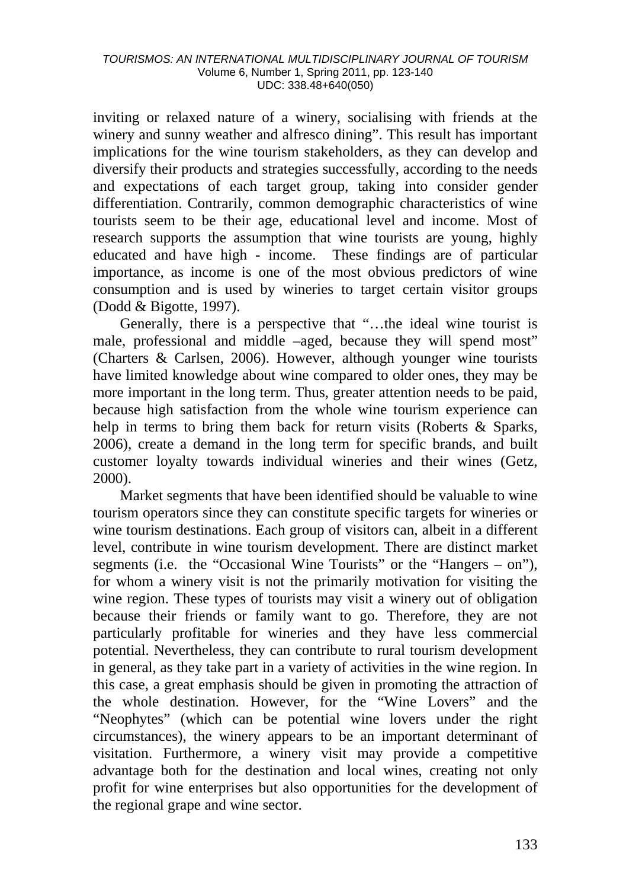inviting or relaxed nature of a winery, socialising with friends at the winery and sunny weather and alfresco dining". This result has important implications for the wine tourism stakeholders, as they can develop and diversify their products and strategies successfully, according to the needs and expectations of each target group, taking into consider gender differentiation. Contrarily, common demographic characteristics of wine tourists seem to be their age, educational level and income. Most of research supports the assumption that wine tourists are young, highly educated and have high - income. These findings are of particular importance, as income is one of the most obvious predictors of wine consumption and is used by wineries to target certain visitor groups (Dodd & Bigotte, 1997).

Generally, there is a perspective that "…the ideal wine tourist is male, professional and middle –aged, because they will spend most" (Charters & Carlsen, 2006). However, although younger wine tourists have limited knowledge about wine compared to older ones, they may be more important in the long term. Thus, greater attention needs to be paid, because high satisfaction from the whole wine tourism experience can help in terms to bring them back for return visits (Roberts & Sparks, 2006), create a demand in the long term for specific brands, and built customer loyalty towards individual wineries and their wines (Getz, 2000).

Market segments that have been identified should be valuable to wine tourism operators since they can constitute specific targets for wineries or wine tourism destinations. Each group of visitors can, albeit in a different level, contribute in wine tourism development. There are distinct market segments (i.e. the "Occasional Wine Tourists" or the "Hangers – on"), for whom a winery visit is not the primarily motivation for visiting the wine region. These types of tourists may visit a winery out of obligation because their friends or family want to go. Therefore, they are not particularly profitable for wineries and they have less commercial potential. Nevertheless, they can contribute to rural tourism development in general, as they take part in a variety of activities in the wine region. In this case, a great emphasis should be given in promoting the attraction of the whole destination. However, for the "Wine Lovers" and the "Neophytes" (which can be potential wine lovers under the right circumstances), the winery appears to be an important determinant of visitation. Furthermore, a winery visit may provide a competitive advantage both for the destination and local wines, creating not only profit for wine enterprises but also opportunities for the development of the regional grape and wine sector.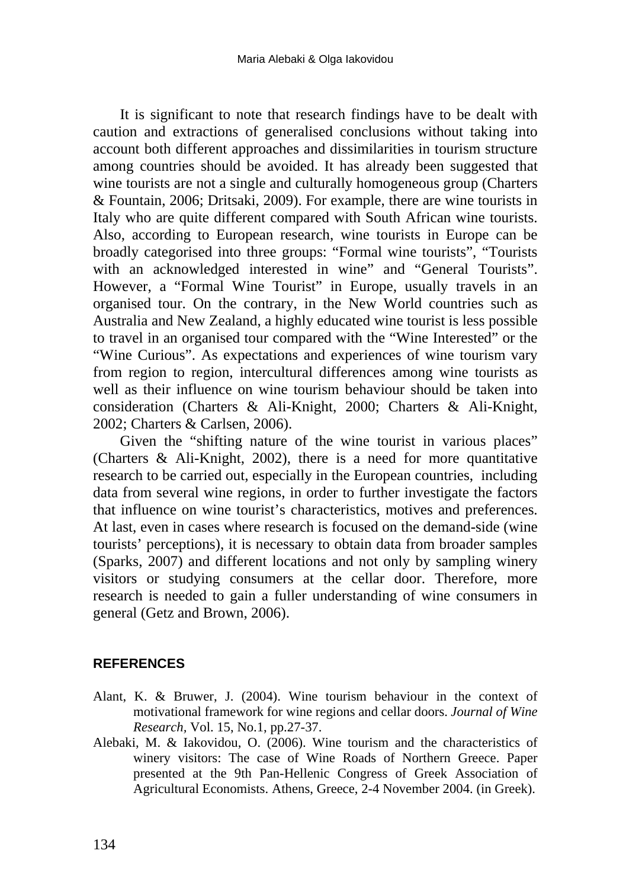It is significant to note that research findings have to be dealt with caution and extractions of generalised conclusions without taking into account both different approaches and dissimilarities in tourism structure among countries should be avoided. It has already been suggested that wine tourists are not a single and culturally homogeneous group (Charters & Fountain, 2006; Dritsaki, 2009). For example, there are wine tourists in Italy who are quite different compared with South African wine tourists. Also, according to European research, wine tourists in Europe can be broadly categorised into three groups: "Formal wine tourists", "Tourists with an acknowledged interested in wine" and "General Tourists". However, a "Formal Wine Tourist" in Europe, usually travels in an organised tour. On the contrary, in the New World countries such as Australia and New Zealand, a highly educated wine tourist is less possible to travel in an organised tour compared with the "Wine Interested" or the "Wine Curious". As expectations and experiences of wine tourism vary from region to region, intercultural differences among wine tourists as well as their influence on wine tourism behaviour should be taken into consideration (Charters & Ali-Knight, 2000; Charters & Ali-Knight, 2002; Charters & Carlsen, 2006).

Given the "shifting nature of the wine tourist in various places" (Charters & Ali-Knight, 2002), there is a need for more quantitative research to be carried out, especially in the European countries, including data from several wine regions, in order to further investigate the factors that influence on wine tourist's characteristics, motives and preferences. At last, even in cases where research is focused on the demand-side (wine tourists' perceptions), it is necessary to obtain data from broader samples (Sparks, 2007) and different locations and not only by sampling winery visitors or studying consumers at the cellar door. Therefore, more research is needed to gain a fuller understanding of wine consumers in general (Getz and Brown, 2006).

### **REFERENCES**

- Alant, K. & Bruwer, J. (2004). Wine tourism behaviour in the context of motivational framework for wine regions and cellar doors. *Journal of Wine Research,* Vol. 15, No.1, pp.27-37.
- Alebaki, M. & Iakovidou, O. (2006). Wine tourism and the characteristics of winery visitors: The case of Wine Roads of Northern Greece. Paper presented at the 9th Pan-Hellenic Congress of Greek Association of Agricultural Economists. Athens, Greece, 2-4 November 2004. (in Greek).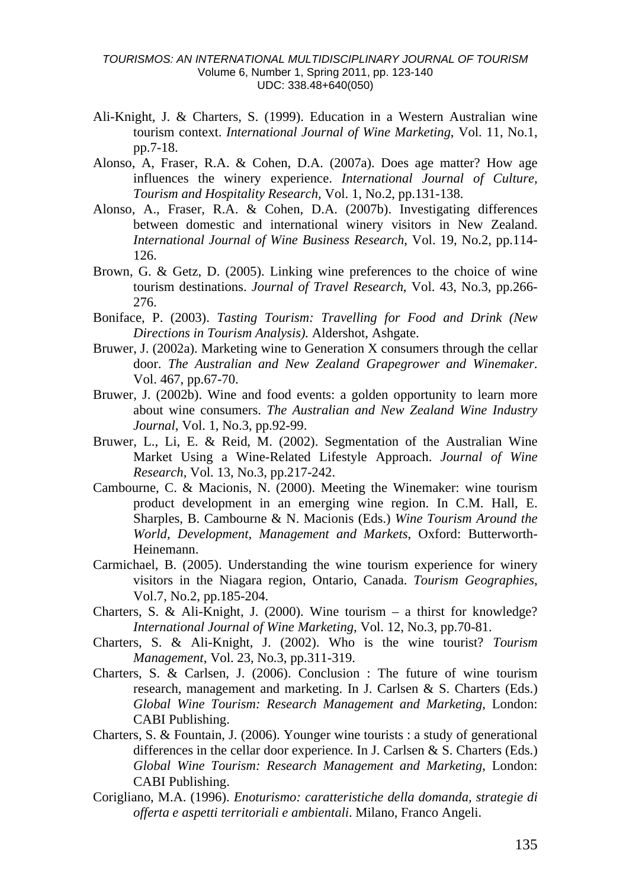- Ali-Knight, J. & Charters, S. (1999). Education in a Western Australian wine tourism context. *International Journal of Wine Marketing*, Vol. 11, No.1, pp.7-18.
- Alonso, A, Fraser, R.A. & Cohen, D.A. (2007a). Does age matter? How age influences the winery experience. *International Journal of Culture, Tourism and Hospitality Research,* Vol. 1, No.2, pp.131-138.
- Alonso, A., Fraser, R.A. & Cohen, D.A. (2007b). Investigating differences between domestic and international winery visitors in New Zealand. *International Journal of Wine Business Research*, Vol. 19, No.2, pp.114- 126.
- Brown, G. & Getz, D. (2005). Linking wine preferences to the choice of wine tourism destinations. *Journal of Travel Research*, Vol. 43, No.3, pp.266- 276.
- Boniface, P. (2003). *Tasting Tourism: Travelling for Food and Drink (New Directions in Tourism Analysis).* Aldershot, Ashgate.
- Bruwer, J. (2002a). Marketing wine to Generation X consumers through the cellar door. *The Australian and New Zealand Grapegrower and Winemaker*. Vol. 467, pp.67-70.
- Bruwer, J. (2002b). Wine and food events: a golden opportunity to learn more about wine consumers. *The Australian and New Zealand Wine Industry Journal*, Vol. 1, No.3, pp.92-99.
- Bruwer, L., Li, E. & Reid, M. (2002). Segmentation of the Australian Wine Market Using a Wine-Related Lifestyle Approach. *Journal of Wine Research,* Vol. 13, No.3, pp.217-242.
- Cambourne, C. & Macionis, N. (2000). Meeting the Winemaker: wine tourism product development in an emerging wine region. In C.M. Hall, E. Sharples, B. Cambourne & N. Macionis (Eds.) *Wine Tourism Around the World, Development, Management and Markets*, Oxford: Butterworth-Heinemann.
- Carmichael, B. (2005). Understanding the wine tourism experience for winery visitors in the Niagara region, Ontario, Canada. *Tourism Geographies*, Vol.7, No.2, pp.185-204.
- Charters, S. & Ali-Knight, J. (2000). Wine tourism a thirst for knowledge? *International Journal of Wine Marketing,* Vol. 12, No.3, pp.70-81.
- Charters, S. & Ali-Knight, J. (2002). Who is the wine tourist? *Tourism Management*, Vol. 23, No.3, pp.311-319.
- Charters, S. & Carlsen, J. (2006). Conclusion : The future of wine tourism research, management and marketing. In J. Carlsen & S. Charters (Eds.) *Global Wine Tourism: Research Management and Marketing*, London: CABI Publishing.
- Charters, S. & Fountain, J. (2006). Younger wine tourists : a study of generational differences in the cellar door experience. In J. Carlsen & S. Charters (Eds.) *Global Wine Tourism: Research Management and Marketing*, London: CABI Publishing.
- Corigliano, M.A. (1996). *Enoturismo: caratteristiche della domanda, strategie di offerta e aspetti territoriali e ambientali*. Milano, Franco Angeli.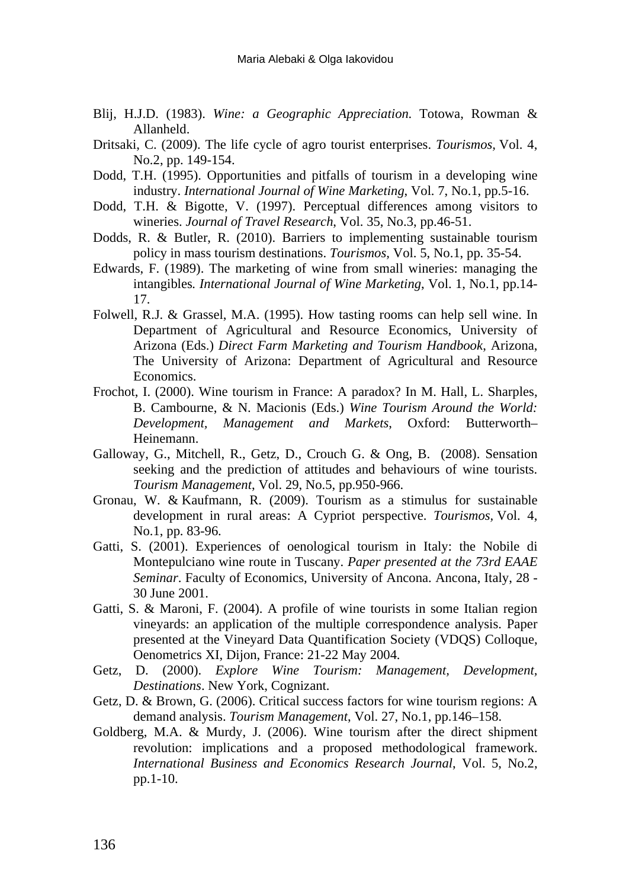- Blij, H.J.D. (1983). *Wine: a Geographic Appreciation*. Totowa, Rowman & Allanheld.
- Dritsaki, C. (2009). The life cycle of agro tourist enterprises. *Tourismos,* Vol. 4, No.2, pp. 149-154.
- Dodd, T.H. (1995). Opportunities and pitfalls of tourism in a developing wine industry. *International Journal of Wine Marketing*, Vol. 7, No.1, pp.5-16.
- Dodd, T.H. & Bigotte, V. (1997). Perceptual differences among visitors to wineries. *Journal of Travel Research*, Vol. 35, No.3, pp.46-51.
- Dodds, R. & Butler, R. (2010). Barriers to implementing sustainable tourism policy in mass tourism destinations. *Tourismos,* Vol. 5, No.1, pp. 35-54.
- Edwards, F. (1989). The marketing of wine from small wineries: managing the intangibles*. International Journal of Wine Marketing*, Vol. 1, No.1, pp.14- 17.
- Folwell, R.J. & Grassel, M.A. (1995). How tasting rooms can help sell wine. In Department of Agricultural and Resource Economics, University of Arizona (Eds.) *Direct Farm Marketing and Tourism Handbook*, Arizona, The University of Arizona: Department of Agricultural and Resource Economics.
- Frochot, I. (2000). Wine tourism in France: A paradox? In M. Hall, L. Sharples, B. Cambourne, & N. Macionis (Eds.) *Wine Tourism Around the World: Development, Management and Markets*, Oxford: Butterworth– Heinemann.
- Galloway, G., Mitchell, R., Getz, D., Crouch G. & Ong, B. (2008). Sensation seeking and the prediction of attitudes and behaviours of wine tourists. *Tourism Management*, Vol. 29, No.5, pp.950-966.
- Gronau, W. & Kaufmann, R. (2009). Tourism as a stimulus for sustainable development in rural areas: A Cypriot perspective. *Tourismos,* Vol. 4, No.1, pp. 83-96.
- Gatti, S. (2001). Experiences of oenological tourism in Italy: the Nobile di Montepulciano wine route in Tuscany. *Paper presented at the 73rd EAAE Seminar*. Faculty of Economics, University of Ancona. Ancona, Italy, 28 - 30 June 2001.
- Gatti, S. & Maroni, F. (2004). A profile of wine tourists in some Italian region vineyards: an application of the multiple correspondence analysis. Paper presented at the Vineyard Data Quantification Society (VDQS) Colloque, Oenometrics XI, Dijon, France: 21-22 May 2004.
- Getz, D. (2000). *Explore Wine Tourism: Management, Development, Destinations*. New York, Cognizant.
- Getz, D. & Brown, G. (2006). Critical success factors for wine tourism regions: A demand analysis. *Tourism Management*, Vol. 27, No.1, pp.146–158.
- Goldberg, M.A. & Murdy, J. (2006). Wine tourism after the direct shipment revolution: implications and a proposed methodological framework. *International Business and Economics Research Journal*, Vol. 5, No.2, pp.1-10.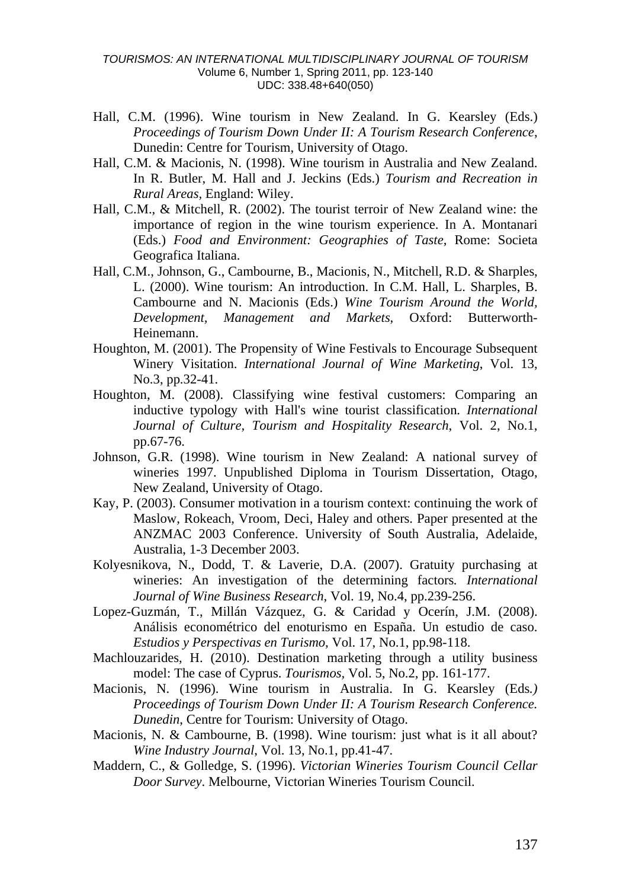- Hall, C.M. (1996). Wine tourism in New Zealand. In G. Kearsley (Eds.) *Proceedings of Tourism Down Under II: A Tourism Research Conference*, Dunedin: Centre for Tourism, University of Otago.
- Hall, C.M. & Macionis, N. (1998). Wine tourism in Australia and New Zealand. In R. Butler, M. Hall and J. Jeckins (Eds.) *Tourism and Recreation in Rural Areas,* England: Wiley.
- Hall, C.M., & Mitchell, R. (2002). The tourist terroir of New Zealand wine: the importance of region in the wine tourism experience. In A. Montanari (Eds.) *Food and Environment: Geographies of Taste*, Rome: Societa Geografica Italiana.
- Hall, C.M., Johnson, G., Cambourne, B., Macionis, N., Mitchell, R.D. & Sharples, L. (2000). Wine tourism: An introduction. In C.M. Hall, L. Sharples, B. Cambourne and N. Macionis (Eds.) *Wine Tourism Around the World, Development, Management and Markets*, Oxford: Butterworth-Heinemann.
- Houghton, M. (2001). The Propensity of Wine Festivals to Encourage Subsequent Winery Visitation. *International Journal of Wine Marketing*, Vol. 13, No.3, pp.32-41.
- Houghton, M. (2008). Classifying wine festival customers: Comparing an inductive typology with Hall's wine tourist classification. *International Journal of Culture, Tourism and Hospitality Research*, Vol. 2, No.1, pp.67-76.
- Johnson, G.R. (1998). Wine tourism in New Zealand: A national survey of wineries 1997. Unpublished Diploma in Tourism Dissertation, Otago, New Zealand, University of Otago.
- Kay, P. (2003). Consumer motivation in a tourism context: continuing the work of Maslow, Rokeach, Vroom, Deci, Haley and others. Paper presented at the ANZMAC 2003 Conference. University of South Australia, Adelaide, Australia, 1-3 December 2003.
- Kolyesnikova, N., Dodd, T. & Laverie, D.A. (2007). Gratuity purchasing at wineries: An investigation of the determining factors*. International Journal of Wine Business Research*, Vol. 19, No.4, pp.239-256.
- Lopez-Guzmán, T., Millán Vázquez, G. & Caridad y Ocerín, J.M. (2008). Análisis econométrico del enoturismo en España. Un estudio de caso. *Estudios y Perspectivas en Turismo*, Vol. 17, No.1, pp.98-118.
- Machlouzarides, H. (2010). Destination marketing through a utility business model: The case of Cyprus. *Tourismos,* Vol. 5, No.2, pp. 161-177.
- Macionis, N. (1996). Wine tourism in Australia. In G. Kearsley (Eds*.) Proceedings of Tourism Down Under II: A Tourism Research Conference. Dunedin*, Centre for Tourism: University of Otago.
- Macionis, N. & Cambourne, B. (1998). Wine tourism: just what is it all about? *Wine Industry Journal*, Vol. 13, No.1, pp.41-47.
- Maddern, C., & Golledge, S. (1996). *Victorian Wineries Tourism Council Cellar Door Survey*. Melbourne, Victorian Wineries Tourism Council.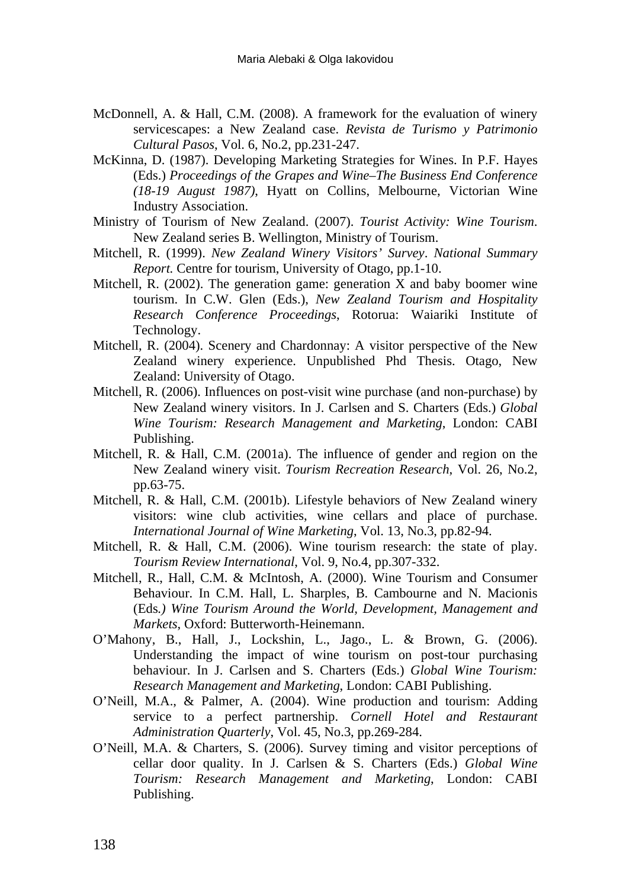- McDonnell, A. & Hall, C.M. (2008). A framework for the evaluation of winery servicescapes: a New Zealand case. *Revista de Turismo y Patrimonio Cultural Pasos*, Vol. 6, No.2, pp.231-247.
- McKinna, D. (1987). Developing Marketing Strategies for Wines. In P.F. Hayes (Eds.) *Proceedings of the Grapes and Wine–The Business End Conference (18-19 August 1987)*, Hyatt on Collins, Melbourne, Victorian Wine Industry Association.
- Ministry of Tourism of New Zealand. (2007). *Tourist Activity: Wine Tourism*. New Zealand series B. Wellington, Ministry of Tourism.
- Mitchell, R. (1999). *New Zealand Winery Visitors' Survey*. *National Summary Report.* Centre for tourism, University of Otago, pp.1-10.
- Mitchell, R. (2002). The generation game: generation  $\overline{X}$  and baby boomer wine tourism. In C.W. Glen (Eds.), *New Zealand Tourism and Hospitality Research Conference Proceedings*, Rotorua: Waiariki Institute of Technology.
- Mitchell, R. (2004). Scenery and Chardonnay: A visitor perspective of the New Zealand winery experience. Unpublished Phd Thesis. Otago, New Zealand: University of Otago.
- Mitchell, R. (2006). Influences on post-visit wine purchase (and non-purchase) by New Zealand winery visitors. In J. Carlsen and S. Charters (Eds.) *Global Wine Tourism: Research Management and Marketing*, London: CABI Publishing.
- Mitchell, R. & Hall, C.M. (2001a). The influence of gender and region on the New Zealand winery visit. *Tourism Recreation Research*, Vol. 26, No.2, pp.63-75.
- Mitchell, R. & Hall, C.M. (2001b). Lifestyle behaviors of New Zealand winery visitors: wine club activities, wine cellars and place of purchase. *International Journal of Wine Marketing*, Vol. 13, No.3, pp.82-94.
- Mitchell, R. & Hall, C.M. (2006). Wine tourism research: the state of play. *Tourism Review International*, Vol. 9, No.4, pp.307-332.
- Mitchell, R., Hall, C.M. & McIntosh, A. (2000). Wine Tourism and Consumer Behaviour. In C.M. Hall, L. Sharples, B. Cambourne and N. Macionis (Eds*.) Wine Tourism Around the World, Development, Management and Markets*, Oxford: Butterworth-Heinemann.
- O'Mahony, B., Hall, J., Lockshin, L., Jago., L. & Brown, G. (2006). Understanding the impact of wine tourism on post-tour purchasing behaviour. In J. Carlsen and S. Charters (Eds.) *Global Wine Tourism: Research Management and Marketing*, London: CABI Publishing.
- O'Neill, M.A., & Palmer, A. (2004). Wine production and tourism: Adding service to a perfect partnership. *Cornell Hotel and Restaurant Administration Quarterly*, Vol. 45, No.3, pp.269-284.
- O'Neill, M.A. & Charters, S. (2006). Survey timing and visitor perceptions of cellar door quality. In J. Carlsen & S. Charters (Eds.) *Global Wine Tourism: Research Management and Marketing*, London: CABI Publishing.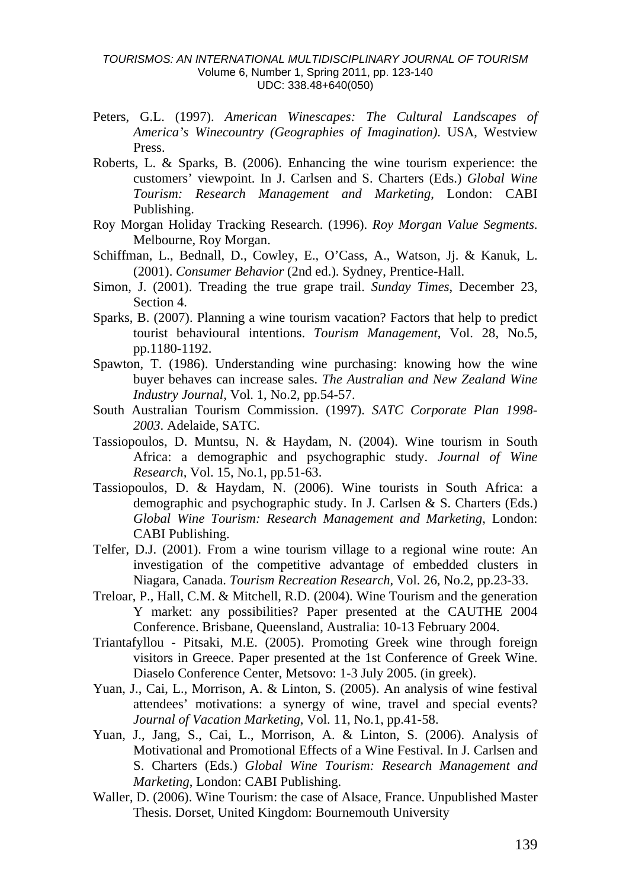- Peters, G.L. (1997). *American Winescapes: The Cultural Landscapes of America's Winecountry (Geographies of Imagination)*. USA, Westview Press.
- Roberts, L. & Sparks, B. (2006). Enhancing the wine tourism experience: the customers' viewpoint. In J. Carlsen and S. Charters (Eds.) *Global Wine Tourism: Research Management and Marketing*, London: CABI Publishing.
- Roy Morgan Holiday Tracking Research. (1996). *Roy Morgan Value Segments*. Melbourne, Roy Morgan.
- Schiffman, L., Bednall, D., Cowley, E., O'Cass, A., Watson, Jj. & Kanuk, L. (2001). *Consumer Behavior* (2nd ed.). Sydney, Prentice-Hall.
- Simon, J. (2001). Treading the true grape trail. *Sunday Times*, December 23, Section 4.
- Sparks, B. (2007). Planning a wine tourism vacation? Factors that help to predict tourist behavioural intentions. *Tourism Management*, Vol. 28, No.5, pp.1180-1192.
- Spawton, T. (1986). Understanding wine purchasing: knowing how the wine buyer behaves can increase sales. *The Australian and New Zealand Wine Industry Journal,* Vol. 1, No.2, pp.54-57.
- South Australian Tourism Commission. (1997). *SATC Corporate Plan 1998- 2003*. Adelaide, SATC.
- Tassiopoulos, D. Muntsu, N. & Haydam, N. (2004). Wine tourism in South Africa: a demographic and psychographic study. *Journal of Wine Research,* Vol. 15, No.1, pp.51-63.
- Tassiopoulos, D. & Haydam, N. (2006). Wine tourists in South Africa: a demographic and psychographic study. In J. Carlsen & S. Charters (Eds.) *Global Wine Tourism: Research Management and Marketing*, London: CABI Publishing.
- Telfer, D.J. (2001). From a wine tourism village to a regional wine route: An investigation of the competitive advantage of embedded clusters in Niagara, Canada. *Tourism Recreation Research*, Vol. 26, No.2, pp.23-33.
- Treloar, P., Hall, C.M. & Mitchell, R.D. (2004). Wine Tourism and the generation Y market: any possibilities? Paper presented at the CAUTHE 2004 Conference. Brisbane, Queensland, Australia: 10-13 February 2004.
- Triantafyllou Pitsaki, M.E. (2005). Promoting Greek wine through foreign visitors in Greece. Paper presented at the 1st Conference of Greek Wine. Diaselo Conference Center, Metsovo: 1-3 July 2005. (in greek).
- Yuan, J., Cai, L., Morrison, A. & Linton, S. (2005). An analysis of wine festival attendees' motivations: a synergy of wine, travel and special events? *Journal of Vacation Marketing*, Vol. 11, No.1, pp.41-58.
- Yuan, J., Jang, S., Cai, L., Morrison, A. & Linton, S. (2006). Analysis of Motivational and Promotional Effects of a Wine Festival. In J. Carlsen and S. Charters (Eds.) *Global Wine Tourism: Research Management and Marketing*, London: CABI Publishing.
- Waller, D. (2006). Wine Tourism: the case of Alsace, France. Unpublished Master Thesis. Dorset, United Kingdom: Bournemouth University